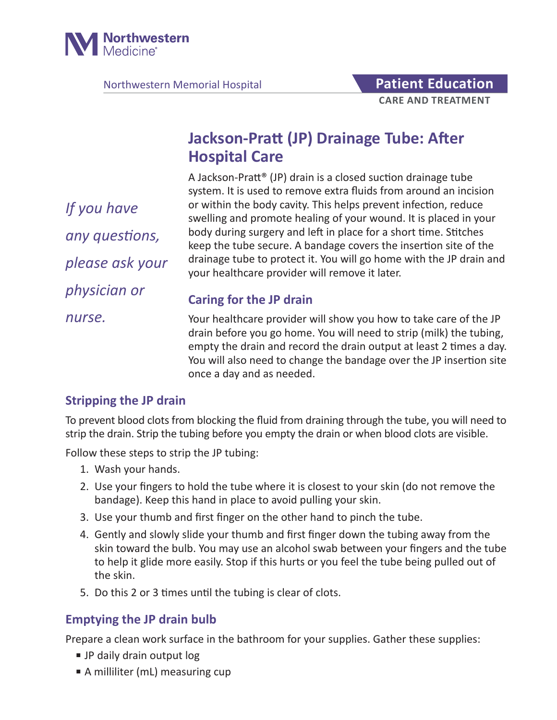

Northwestern Memorial Hospital **Patient Education** 

# **Jackson-Pratt (JP) Drainage Tube: After Hospital Care**

A Jackson-Pratt® (JP) drain is a closed suction drainage tube system. It is used to remove extra fluids from around an incision or within the body cavity. This helps prevent infection, reduce swelling and promote healing of your wound. It is placed in your body during surgery and left in place for a short time. Stitches keep the tube secure. A bandage covers the insertion site of the drainage tube to protect it. You will go home with the JP drain and your healthcare provider will remove it later.

**Caring for the JP drain**

*nurse.*

*If you have* 

*any questions,* 

*please ask your* 

*physician or* 

Your healthcare provider will show you how to take care of the JP drain before you go home. You will need to strip (milk) the tubing, empty the drain and record the drain output at least 2 times a day. You will also need to change the bandage over the JP insertion site once a day and as needed.

### **Stripping the JP drain**

To prevent blood clots from blocking the fluid from draining through the tube, you will need to strip the drain. Strip the tubing before you empty the drain or when blood clots are visible.

Follow these steps to strip the JP tubing:

- 1. Wash your hands.
- 2. Use your fingers to hold the tube where it is closest to your skin (do not remove the bandage). Keep this hand in place to avoid pulling your skin.
- 3. Use your thumb and first finger on the other hand to pinch the tube.
- 4. Gently and slowly slide your thumb and first finger down the tubing away from the skin toward the bulb. You may use an alcohol swab between your fingers and the tube to help it glide more easily. Stop if this hurts or you feel the tube being pulled out of the skin.
- 5. Do this 2 or 3 times until the tubing is clear of clots.

### **Emptying the JP drain bulb**

Prepare a clean work surface in the bathroom for your supplies. Gather these supplies:

- JP daily drain output log
- A milliliter (mL) measuring cup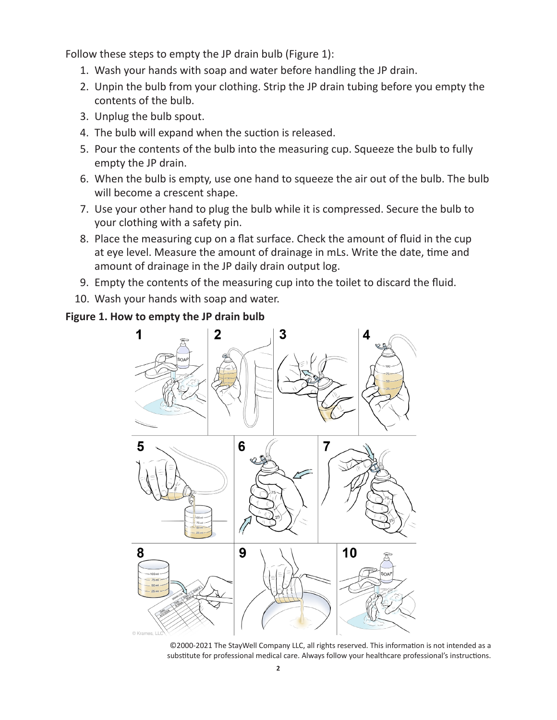Follow these steps to empty the JP drain bulb (Figure 1):

- 1. Wash your hands with soap and water before handling the JP drain.
- 2. Unpin the bulb from your clothing. Strip the JP drain tubing before you empty the contents of the bulb.
- 3. Unplug the bulb spout.
- 4. The bulb will expand when the suction is released.
- 5. Pour the contents of the bulb into the measuring cup. Squeeze the bulb to fully empty the JP drain.
- 6. When the bulb is empty, use one hand to squeeze the air out of the bulb. The bulb will become a crescent shape.
- 7. Use your other hand to plug the bulb while it is compressed. Secure the bulb to your clothing with a safety pin.
- 8. Place the measuring cup on a flat surface. Check the amount of fluid in the cup at eye level. Measure the amount of drainage in mLs. Write the date, time and amount of drainage in the JP daily drain output log.
- 9. Empty the contents of the measuring cup into the toilet to discard the fluid.
- 10. Wash your hands with soap and water.

#### **Figure 1. How to empty the JP drain bulb**



©2000-2021 The StayWell Company LLC, all rights reserved. This information is not intended as a substitute for professional medical care. Always follow your healthcare professional's instructions.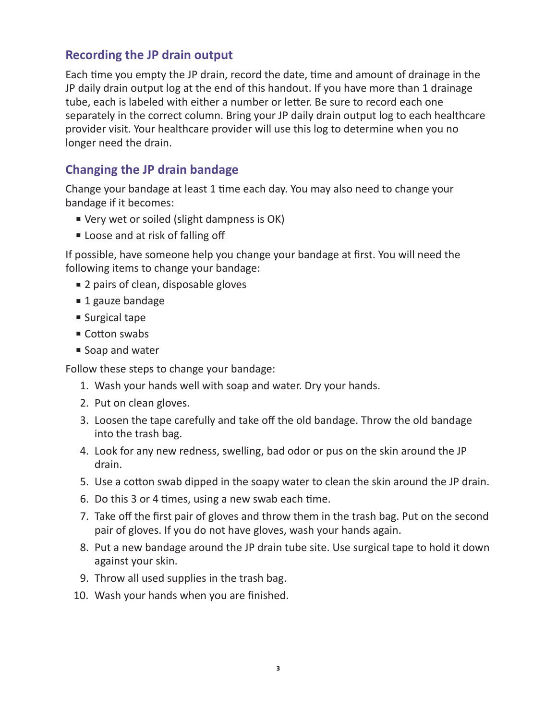#### **Recording the JP drain output**

Each time you empty the JP drain, record the date, time and amount of drainage in the JP daily drain output log at the end of this handout. If you have more than 1 drainage tube, each is labeled with either a number or letter. Be sure to record each one separately in the correct column. Bring your JP daily drain output log to each healthcare provider visit. Your healthcare provider will use this log to determine when you no longer need the drain.

#### **Changing the JP drain bandage**

Change your bandage at least 1 time each day. You may also need to change your bandage if it becomes:

- Very wet or soiled (slight dampness is OK)
- Loose and at risk of falling off

If possible, have someone help you change your bandage at first. You will need the following items to change your bandage:

- 2 pairs of clean, disposable gloves
- 1 gauze bandage
- Surgical tape
- Cotton swabs
- Soap and water

Follow these steps to change your bandage:

- 1. Wash your hands well with soap and water. Dry your hands.
- 2. Put on clean gloves.
- 3. Loosen the tape carefully and take off the old bandage. Throw the old bandage into the trash bag.
- 4. Look for any new redness, swelling, bad odor or pus on the skin around the JP drain.
- 5. Use a cotton swab dipped in the soapy water to clean the skin around the JP drain.
- 6. Do this 3 or 4 times, using a new swab each time.
- 7. Take off the first pair of gloves and throw them in the trash bag. Put on the second pair of gloves. If you do not have gloves, wash your hands again.
- 8. Put a new bandage around the JP drain tube site. Use surgical tape to hold it down against your skin.
- 9. Throw all used supplies in the trash bag.
- 10. Wash your hands when you are finished.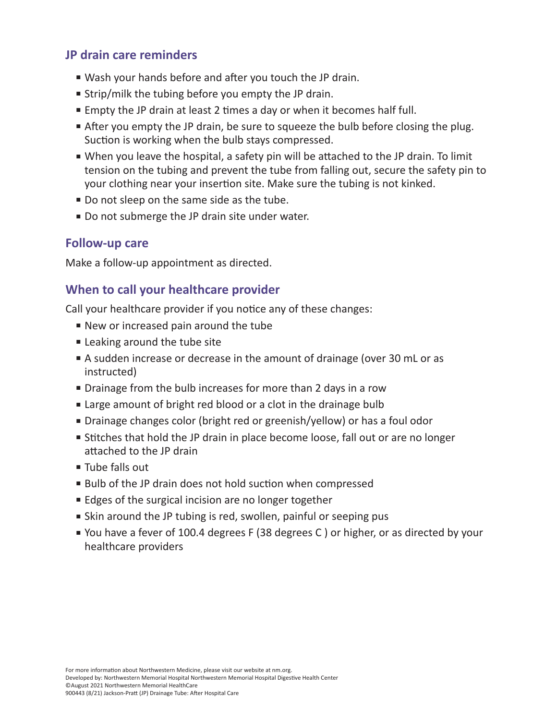#### **JP drain care reminders**

- Wash your hands before and after you touch the JP drain.
- Strip/milk the tubing before you empty the JP drain.
- Empty the JP drain at least 2 times a day or when it becomes half full.
- After you empty the JP drain, be sure to squeeze the bulb before closing the plug. Suction is working when the bulb stays compressed.
- When you leave the hospital, a safety pin will be attached to the JP drain. To limit tension on the tubing and prevent the tube from falling out, secure the safety pin to your clothing near your insertion site. Make sure the tubing is not kinked.
- Do not sleep on the same side as the tube.
- Do not submerge the JP drain site under water.

#### **Follow-up care**

Make a follow-up appointment as directed.

### **When to call your healthcare provider**

Call your healthcare provider if you notice any of these changes:

- New or increased pain around the tube
- Leaking around the tube site
- A sudden increase or decrease in the amount of drainage (over 30 mL or as instructed)
- Drainage from the bulb increases for more than 2 days in a row
- Large amount of bright red blood or a clot in the drainage bulb
- Drainage changes color (bright red or greenish/yellow) or has a foul odor
- Stitches that hold the JP drain in place become loose, fall out or are no longer attached to the JP drain
- Tube falls out
- Bulb of the JP drain does not hold suction when compressed
- Edges of the surgical incision are no longer together
- Skin around the JP tubing is red, swollen, painful or seeping pus
- You have a fever of 100.4 degrees F (38 degrees C) or higher, or as directed by your healthcare providers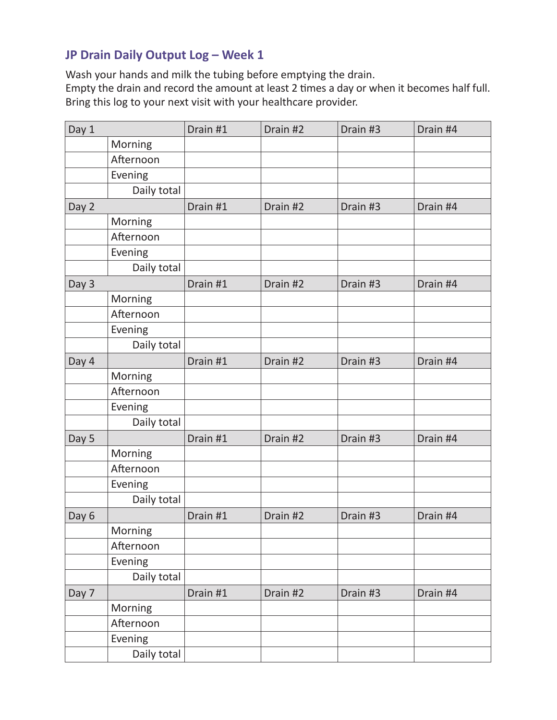## **JP Drain Daily Output Log – Week 1**

Wash your hands and milk the tubing before emptying the drain.

Empty the drain and record the amount at least 2 times a day or when it becomes half full. Bring this log to your next visit with your healthcare provider.

| Day 1 |             | Drain #1 | Drain #2 | Drain #3 | Drain #4 |
|-------|-------------|----------|----------|----------|----------|
|       | Morning     |          |          |          |          |
|       | Afternoon   |          |          |          |          |
|       | Evening     |          |          |          |          |
|       | Daily total |          |          |          |          |
| Day 2 |             | Drain #1 | Drain #2 | Drain #3 | Drain #4 |
|       | Morning     |          |          |          |          |
|       | Afternoon   |          |          |          |          |
|       | Evening     |          |          |          |          |
|       | Daily total |          |          |          |          |
| Day 3 |             | Drain #1 | Drain #2 | Drain #3 | Drain #4 |
|       | Morning     |          |          |          |          |
|       | Afternoon   |          |          |          |          |
|       | Evening     |          |          |          |          |
|       | Daily total |          |          |          |          |
| Day 4 |             | Drain #1 | Drain #2 | Drain #3 | Drain #4 |
|       | Morning     |          |          |          |          |
|       | Afternoon   |          |          |          |          |
|       | Evening     |          |          |          |          |
|       | Daily total |          |          |          |          |
| Day 5 |             | Drain #1 | Drain #2 | Drain #3 | Drain #4 |
|       | Morning     |          |          |          |          |
|       | Afternoon   |          |          |          |          |
|       | Evening     |          |          |          |          |
|       | Daily total |          |          |          |          |
| Day 6 |             | Drain #1 | Drain #2 | Drain #3 | Drain #4 |
|       | Morning     |          |          |          |          |
|       | Afternoon   |          |          |          |          |
|       | Evening     |          |          |          |          |
|       | Daily total |          |          |          |          |
| Day 7 |             | Drain #1 | Drain #2 | Drain #3 | Drain #4 |
|       | Morning     |          |          |          |          |
|       | Afternoon   |          |          |          |          |
|       | Evening     |          |          |          |          |
|       | Daily total |          |          |          |          |